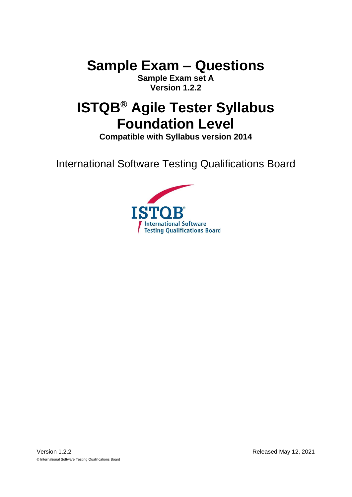**Sample Exam – Questions**

**Sample Exam set A Version 1.2.2**

# **ISTQB® Agile Tester Syllabus Foundation Level**

**Compatible with Syllabus version 2014**

International Software Testing Qualifications Board

<span id="page-0-0"></span>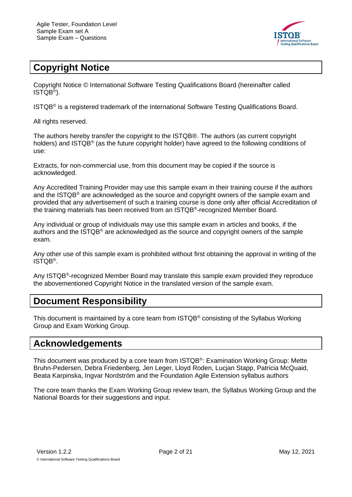

## <span id="page-1-0"></span>**Copyright Notice**

Copyright Notice © International Software Testing Qualifications Board (hereinafter called ISTQB® ).

ISTQB® is a registered trademark of the International Software Testing Qualifications Board.

All rights reserved.

The authors hereby transfer the copyright to the ISTQB®. The authors (as current copyright holders) and ISTQB® (as the future copyright holder) have agreed to the following conditions of use:

Extracts, for non-commercial use, from this document may be copied if the source is acknowledged.

Any Accredited Training Provider may use this sample exam in their training course if the authors and the ISTQB® are acknowledged as the source and copyright owners of the sample exam and provided that any advertisement of such a training course is done only after official Accreditation of the training materials has been received from an ISTQB®-recognized Member Board.

Any individual or group of individuals may use this sample exam in articles and books, if the authors and the ISTQB® are acknowledged as the source and copyright owners of the sample exam.

Any other use of this sample exam is prohibited without first obtaining the approval in writing of the ISTQB® .

Any ISTQB<sup>®</sup>-recognized Member Board may translate this sample exam provided they reproduce the abovementioned Copyright Notice in the translated version of the sample exam.

## <span id="page-1-1"></span>**Document Responsibility**

This document is maintained by a core team from ISTQB® consisting of the Syllabus Working Group and Exam Working Group.

## <span id="page-1-2"></span>**Acknowledgements**

This document was produced by a core team from ISTQB®: Examination Working Group: Mette Bruhn-Pedersen, Debra Friedenberg, Jen Leger, Lloyd Roden, Lucjan Stapp, Patricia McQuaid, Beata Karpinska, Ingvar Nordström and the Foundation Agile Extension syllabus authors

The core team thanks the Exam Working Group review team, the Syllabus Working Group and the National Boards for their suggestions and input.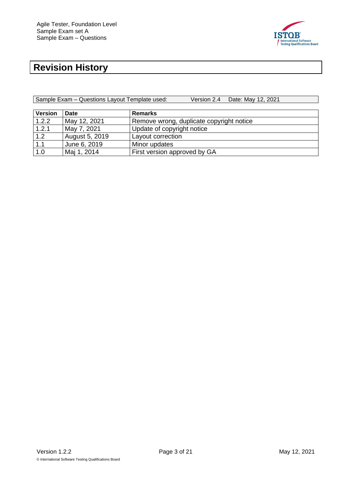

## <span id="page-2-0"></span>**Revision History**

Sample Exam – Questions Layout Template used: Ver

| sion 2.4 | Date: May 12, 2021 |
|----------|--------------------|
|----------|--------------------|

| <b>Version</b> | Date                  | <b>Remarks</b>                           |
|----------------|-----------------------|------------------------------------------|
| 1.2.2          | May 12, 2021          | Remove wrong, duplicate copyright notice |
| 1.2.1          | May 7, 2021           | Update of copyright notice               |
| 1.2            | <b>August 5, 2019</b> | Layout correction                        |
| 1.1            | June 6, 2019          | Minor updates                            |
| 1.0            | Maj 1, 2014           | First version approved by GA             |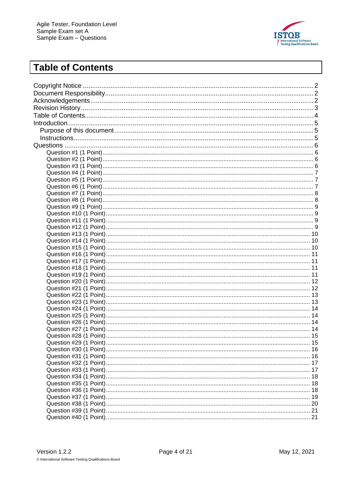

## <span id="page-3-0"></span>**Table of Contents**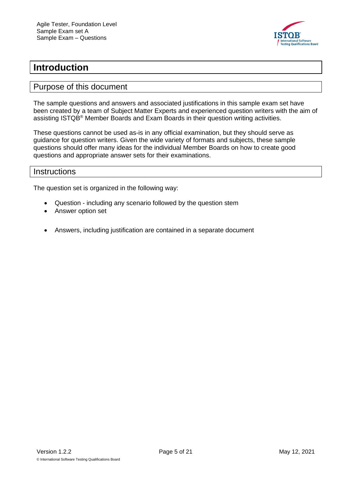

## <span id="page-4-0"></span>**Introduction**

#### <span id="page-4-1"></span>Purpose of this document

The sample questions and answers and associated justifications in this sample exam set have been created by a team of Subject Matter Experts and experienced question writers with the aim of assisting ISTQB® Member Boards and Exam Boards in their question writing activities.

These questions cannot be used as-is in any official examination, but they should serve as guidance for question writers. Given the wide variety of formats and subjects, these sample questions should offer many ideas for the individual Member Boards on how to create good questions and appropriate answer sets for their examinations.

#### <span id="page-4-2"></span>**Instructions**

The question set is organized in the following way:

- Question including any scenario followed by the question stem
- Answer option set
- Answers, including justification are contained in a separate document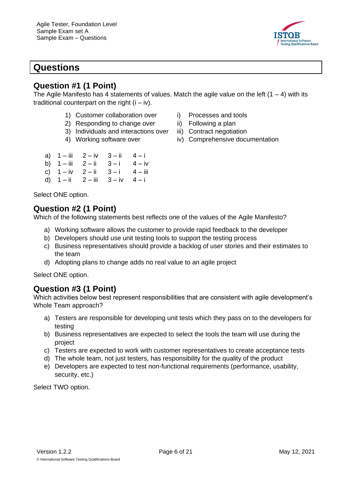<span id="page-5-0"></span>

## <span id="page-5-1"></span>**Question #1 (1 Point)**

The Agile Manifesto has 4 statements of values. Match the agile value on the left  $(1 – 4)$  with its traditional counterpart on the right  $(i - iv)$ .

- 1) Customer collaboration over i) Processes and tools
- 2) Responding to change over ii) Following a plan
- 3) Individuals and interactions over iii) Contract negotiation
- 
- -
- 4) Working software over iv) Comprehensive documentation
- a)  $1 iii$   $2 iv$   $3 ii$   $4 i$
- b)  $1 iii$   $2 ii$   $3 i$   $4 iv$
- c)  $1 iv$   $2 ii$   $3 i$   $4 iii$
- d)  $1 ii$   $2 iii$   $3 iv$   $4 i$

Select ONE option.

#### <span id="page-5-2"></span>**Question #2 (1 Point)**

Which of the following statements best reflects one of the values of the Agile Manifesto?

- a) Working software allows the customer to provide rapid feedback to the developer
- b) Developers should use unit testing tools to support the testing process
- c) Business representatives should provide a backlog of user stories and their estimates to the team
- d) Adopting plans to change adds no real value to an agile project

Select ONE option.

#### <span id="page-5-3"></span>**Question #3 (1 Point)**

Which activities below best represent responsibilities that are consistent with agile development's Whole Team approach?

- a) Testers are responsible for developing unit tests which they pass on to the developers for testing
- b) Business representatives are expected to select the tools the team will use during the project
- c) Testers are expected to work with customer representatives to create acceptance tests
- d) The whole team, not just testers, has responsibility for the quality of the product
- e) Developers are expected to test non-functional requirements (performance, usability, security, etc.)

Select TWO option.

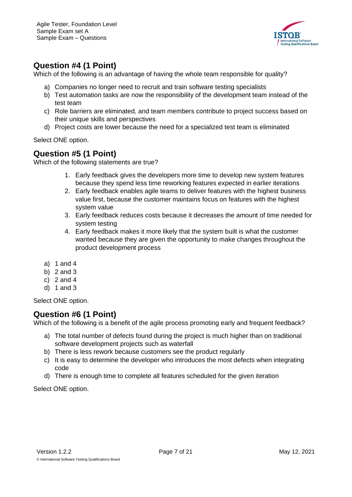

## <span id="page-6-0"></span>**Question #4 (1 Point)**

Which of the following is an advantage of having the whole team responsible for quality?

- a) Companies no longer need to recruit and train software testing specialists
- b) Test automation tasks are now the responsibility of the development team instead of the test team
- c) Role barriers are eliminated, and team members contribute to project success based on their unique skills and perspectives
- d) Project costs are lower because the need for a specialized test team is eliminated

Select ONE option.

#### <span id="page-6-1"></span>**Question #5 (1 Point)**

Which of the following statements are true?

- 1. Early feedback gives the developers more time to develop new system features because they spend less time reworking features expected in earlier iterations
- 2. Early feedback enables agile teams to deliver features with the highest business value first, because the customer maintains focus on features with the highest system value
- 3. Early feedback reduces costs because it decreases the amount of time needed for system testing
- 4. Early feedback makes it more likely that the system built is what the customer wanted because they are given the opportunity to make changes throughout the product development process
- a) 1 and 4
- b) 2 and 3
- c) 2 and 4
- d) 1 and 3

Select ONE option.

#### <span id="page-6-2"></span>**Question #6 (1 Point)**

Which of the following is a benefit of the agile process promoting early and frequent feedback?

- a) The total number of defects found during the project is much higher than on traditional software development projects such as waterfall
- b) There is less rework because customers see the product regularly
- c) It is easy to determine the developer who introduces the most defects when integrating code
- d) There is enough time to complete all features scheduled for the given iteration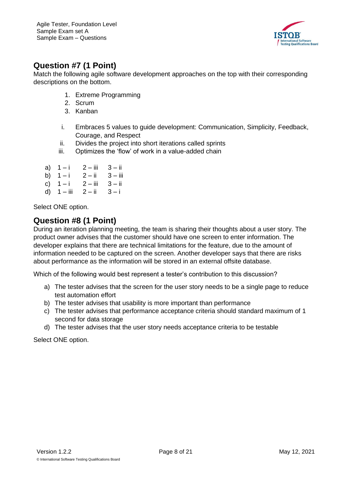

## <span id="page-7-0"></span>**Question #7 (1 Point)**

Match the following agile software development approaches on the top with their corresponding descriptions on the bottom.

- 1. Extreme Programming
- 2. Scrum
- 3. Kanban
- i. Embraces 5 values to guide development: Communication, Simplicity, Feedback, Courage, and Respect
- ii. Divides the project into short iterations called sprints
- iii. Optimizes the 'flow' of work in a value-added chain
- a)  $1 i$   $2 iii$   $3 ii$
- b)  $1 i$   $2 ii$   $3 iii$
- c)  $1 i$   $2 iii$   $3 ii$
- d)  $1 iii$   $2 ii$   $3 i$

Select ONE option.

## <span id="page-7-1"></span>**Question #8 (1 Point)**

During an iteration planning meeting, the team is sharing their thoughts about a user story. The product owner advises that the customer should have one screen to enter information. The developer explains that there are technical limitations for the feature, due to the amount of information needed to be captured on the screen. Another developer says that there are risks about performance as the information will be stored in an external offsite database.

Which of the following would best represent a tester's contribution to this discussion?

- a) The tester advises that the screen for the user story needs to be a single page to reduce test automation effort
- b) The tester advises that usability is more important than performance
- c) The tester advises that performance acceptance criteria should standard maximum of 1 second for data storage
- d) The tester advises that the user story needs acceptance criteria to be testable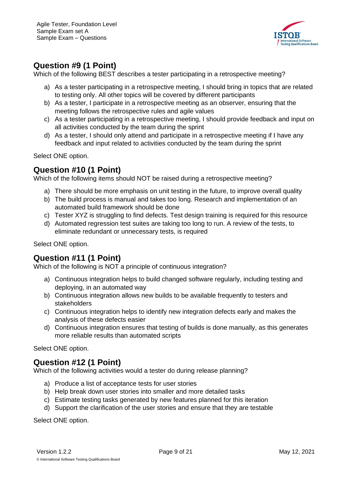

## <span id="page-8-0"></span>**Question #9 (1 Point)**

Which of the following BEST describes a tester participating in a retrospective meeting?

- a) As a tester participating in a retrospective meeting, I should bring in topics that are related to testing only. All other topics will be covered by different participants
- b) As a tester, I participate in a retrospective meeting as an observer, ensuring that the meeting follows the retrospective rules and agile values
- c) As a tester participating in a retrospective meeting, I should provide feedback and input on all activities conducted by the team during the sprint
- d) As a tester, I should only attend and participate in a retrospective meeting if I have any feedback and input related to activities conducted by the team during the sprint

Select ONE option.

## <span id="page-8-1"></span>**Question #10 (1 Point)**

Which of the following items should NOT be raised during a retrospective meeting?

- a) There should be more emphasis on unit testing in the future, to improve overall quality
- b) The build process is manual and takes too long. Research and implementation of an automated build framework should be done
- c) Tester XYZ is struggling to find defects. Test design training is required for this resource
- d) Automated regression test suites are taking too long to run. A review of the tests, to eliminate redundant or unnecessary tests, is required

Select ONE option.

#### <span id="page-8-2"></span>**Question #11 (1 Point)**

Which of the following is NOT a principle of continuous integration?

- a) Continuous integration helps to build changed software regularly, including testing and deploying, in an automated way
- b) Continuous integration allows new builds to be available frequently to testers and stakeholders
- c) Continuous integration helps to identify new integration defects early and makes the analysis of these defects easier
- d) Continuous integration ensures that testing of builds is done manually, as this generates more reliable results than automated scripts

Select ONE option.

#### <span id="page-8-3"></span>**Question #12 (1 Point)**

Which of the following activities would a tester do during release planning?

- a) Produce a list of acceptance tests for user stories
- b) Help break down user stories into smaller and more detailed tasks
- c) Estimate testing tasks generated by new features planned for this iteration
- d) Support the clarification of the user stories and ensure that they are testable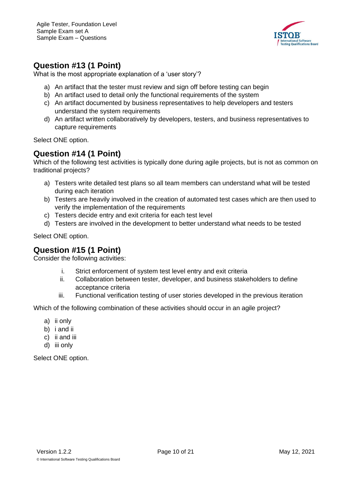

## <span id="page-9-0"></span>**Question #13 (1 Point)**

What is the most appropriate explanation of a 'user story'?

- a) An artifact that the tester must review and sign off before testing can begin
- b) An artifact used to detail only the functional requirements of the system
- c) An artifact documented by business representatives to help developers and testers understand the system requirements
- d) An artifact written collaboratively by developers, testers, and business representatives to capture requirements

Select ONE option.

#### <span id="page-9-1"></span>**Question #14 (1 Point)**

Which of the following test activities is typically done during agile projects, but is not as common on traditional projects?

- a) Testers write detailed test plans so all team members can understand what will be tested during each iteration
- b) Testers are heavily involved in the creation of automated test cases which are then used to verify the implementation of the requirements
- c) Testers decide entry and exit criteria for each test level
- d) Testers are involved in the development to better understand what needs to be tested

Select ONE option.

### <span id="page-9-2"></span>**Question #15 (1 Point)**

Consider the following activities:

- i. Strict enforcement of system test level entry and exit criteria
- ii. Collaboration between tester, developer, and business stakeholders to define acceptance criteria
- iii. Functional verification testing of user stories developed in the previous iteration

Which of the following combination of these activities should occur in an agile project?

- a) ii only
- b) i and ii
- c) ii and iii
- d) iii only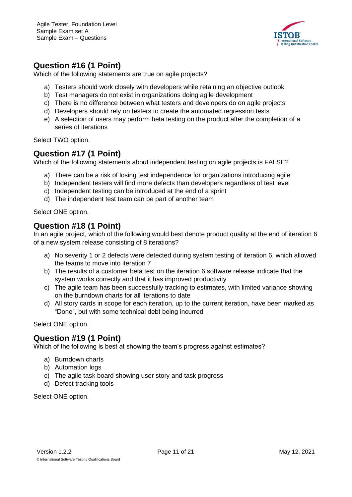

## <span id="page-10-0"></span>**Question #16 (1 Point)**

Which of the following statements are true on agile projects?

- a) Testers should work closely with developers while retaining an objective outlook
- b) Test managers do not exist in organizations doing agile development
- c) There is no difference between what testers and developers do on agile projects
- d) Developers should rely on testers to create the automated regression tests
- e) A selection of users may perform beta testing on the product after the completion of a series of iterations

Select TWO option.

#### <span id="page-10-1"></span>**Question #17 (1 Point)**

Which of the following statements about independent testing on agile projects is FALSE?

- a) There can be a risk of losing test independence for organizations introducing agile
- b) Independent testers will find more defects than developers regardless of test level
- c) Independent testing can be introduced at the end of a sprint
- d) The independent test team can be part of another team

Select ONE option.

#### <span id="page-10-2"></span>**Question #18 (1 Point)**

In an agile project, which of the following would best denote product quality at the end of iteration 6 of a new system release consisting of 8 iterations?

- a) No severity 1 or 2 defects were detected during system testing of iteration 6, which allowed the teams to move into iteration 7
- b) The results of a customer beta test on the iteration 6 software release indicate that the system works correctly and that it has improved productivity
- c) The agile team has been successfully tracking to estimates, with limited variance showing on the burndown charts for all iterations to date
- d) All story cards in scope for each iteration, up to the current iteration, have been marked as "Done", but with some technical debt being incurred

Select ONE option.

## <span id="page-10-3"></span>**Question #19 (1 Point)**

Which of the following is best at showing the team's progress against estimates?

- a) Burndown charts
- b) Automation logs
- c) The agile task board showing user story and task progress
- d) Defect tracking tools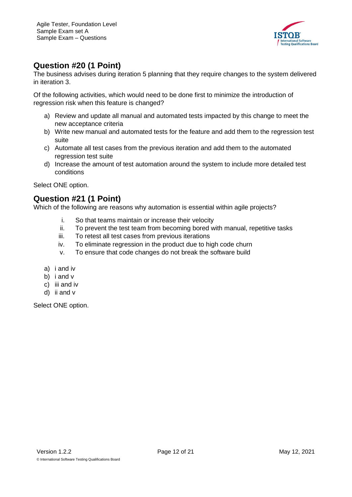

## <span id="page-11-0"></span>**Question #20 (1 Point)**

The business advises during iteration 5 planning that they require changes to the system delivered in iteration 3.

Of the following activities, which would need to be done first to minimize the introduction of regression risk when this feature is changed?

- a) Review and update all manual and automated tests impacted by this change to meet the new acceptance criteria
- b) Write new manual and automated tests for the feature and add them to the regression test suite
- c) Automate all test cases from the previous iteration and add them to the automated regression test suite
- d) Increase the amount of test automation around the system to include more detailed test conditions

Select ONE option.

#### <span id="page-11-1"></span>**Question #21 (1 Point)**

Which of the following are reasons why automation is essential within agile projects?

- i. So that teams maintain or increase their velocity
- ii. To prevent the test team from becoming bored with manual, repetitive tasks
- iii. To retest all test cases from previous iterations
- iv. To eliminate regression in the product due to high code churn
- v. To ensure that code changes do not break the software build
- a) i and iv
- b) i and v
- c) iii and iv
- d) ii and v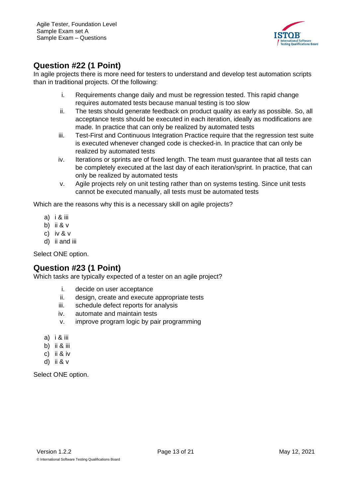

## <span id="page-12-0"></span>**Question #22 (1 Point)**

In agile projects there is more need for testers to understand and develop test automation scripts than in traditional projects. Of the following:

- i. Requirements change daily and must be regression tested. This rapid change requires automated tests because manual testing is too slow
- ii. The tests should generate feedback on product quality as early as possible. So, all acceptance tests should be executed in each iteration, ideally as modifications are made. In practice that can only be realized by automated tests
- iii. Test-First and Continuous Integration Practice require that the regression test suite is executed whenever changed code is checked-in. In practice that can only be realized by automated tests
- iv. Iterations or sprints are of fixed length. The team must guarantee that all tests can be completely executed at the last day of each iteration/sprint. In practice, that can only be realized by automated tests
- v. Agile projects rely on unit testing rather than on systems testing. Since unit tests cannot be executed manually, all tests must be automated tests

Which are the reasons why this is a necessary skill on agile projects?

- a) i & iii
- b) ii & v
- c) iv & v
- d) ii and iii

Select ONE option.

#### <span id="page-12-1"></span>**Question #23 (1 Point)**

Which tasks are typically expected of a tester on an agile project?

- i. decide on user acceptance
- ii. design, create and execute appropriate tests
- iii. schedule defect reports for analysis
- iv. automate and maintain tests
- v. improve program logic by pair programming
- a) i & iii
- b) ii & iii
- c) ii & iv
- d) ii & v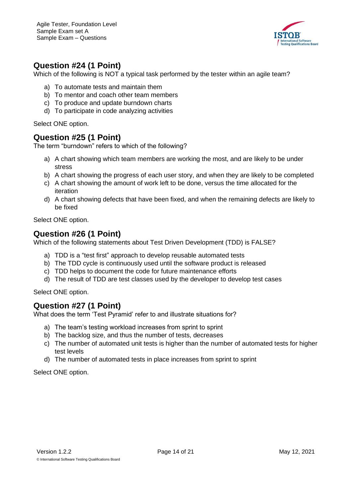

## <span id="page-13-0"></span>**Question #24 (1 Point)**

Which of the following is NOT a typical task performed by the tester within an agile team?

- a) To automate tests and maintain them
- b) To mentor and coach other team members
- c) To produce and update burndown charts
- d) To participate in code analyzing activities

Select ONE option.

#### <span id="page-13-1"></span>**Question #25 (1 Point)**

The term "burndown" refers to which of the following?

- a) A chart showing which team members are working the most, and are likely to be under stress
- b) A chart showing the progress of each user story, and when they are likely to be completed
- c) A chart showing the amount of work left to be done, versus the time allocated for the iteration
- d) A chart showing defects that have been fixed, and when the remaining defects are likely to be fixed

Select ONE option.

#### <span id="page-13-2"></span>**Question #26 (1 Point)**

Which of the following statements about Test Driven Development (TDD) is FALSE?

- a) TDD is a "test first" approach to develop reusable automated tests
- b) The TDD cycle is continuously used until the software product is released
- c) TDD helps to document the code for future maintenance efforts
- d) The result of TDD are test classes used by the developer to develop test cases

Select ONE option.

#### <span id="page-13-3"></span>**Question #27 (1 Point)**

What does the term 'Test Pyramid' refer to and illustrate situations for?

- a) The team's testing workload increases from sprint to sprint
- b) The backlog size, and thus the number of tests, decreases
- c) The number of automated unit tests is higher than the number of automated tests for higher test levels
- d) The number of automated tests in place increases from sprint to sprint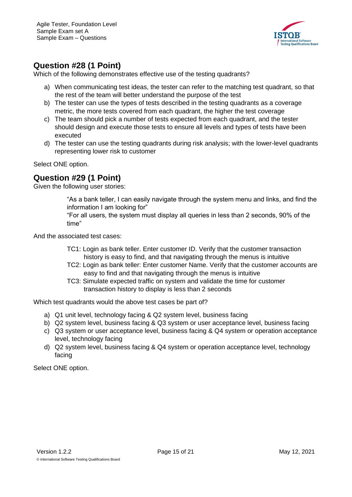

## <span id="page-14-0"></span>**Question #28 (1 Point)**

Which of the following demonstrates effective use of the testing quadrants?

- a) When communicating test ideas, the tester can refer to the matching test quadrant, so that the rest of the team will better understand the purpose of the test
- b) The tester can use the types of tests described in the testing quadrants as a coverage metric, the more tests covered from each quadrant, the higher the test coverage
- c) The team should pick a number of tests expected from each quadrant, and the tester should design and execute those tests to ensure all levels and types of tests have been executed
- d) The tester can use the testing quadrants during risk analysis; with the lower-level quadrants representing lower risk to customer

Select ONE option.

## <span id="page-14-1"></span>**Question #29 (1 Point)**

Given the following user stories:

"As a bank teller, I can easily navigate through the system menu and links, and find the information I am looking for"

"For all users, the system must display all queries in less than 2 seconds, 90% of the time"

And the associated test cases:

- TC1: Login as bank teller. Enter customer ID. Verify that the customer transaction history is easy to find, and that navigating through the menus is intuitive
- TC2: Login as bank teller: Enter customer Name. Verify that the customer accounts are easy to find and that navigating through the menus is intuitive
- TC3: Simulate expected traffic on system and validate the time for customer transaction history to display is less than 2 seconds

Which test quadrants would the above test cases be part of?

- a) Q1 unit level, technology facing & Q2 system level, business facing
- b) Q2 system level, business facing & Q3 system or user acceptance level, business facing
- c) Q3 system or user acceptance level, business facing & Q4 system or operation acceptance level, technology facing
- d) Q2 system level, business facing & Q4 system or operation acceptance level, technology facing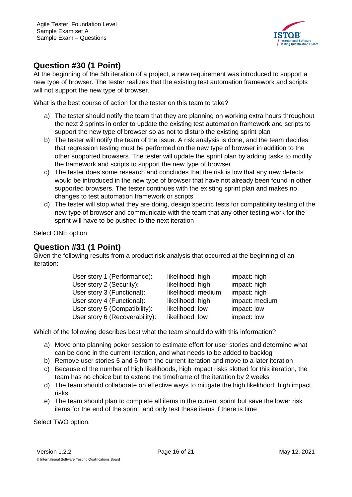

### <span id="page-15-0"></span>**Question #30 (1 Point)**

At the beginning of the 5th iteration of a project, a new requirement was introduced to support a new type of browser. The tester realizes that the existing test automation framework and scripts will not support the new type of browser.

What is the best course of action for the tester on this team to take?

- a) The tester should notify the team that they are planning on working extra hours throughout the next 2 sprints in order to update the existing test automation framework and scripts to support the new type of browser so as not to disturb the existing sprint plan
- b) The tester will notify the team of the issue. A risk analysis is done, and the team decides that regression testing must be performed on the new type of browser in addition to the other supported browsers. The tester will update the sprint plan by adding tasks to modify the framework and scripts to support the new type of browser
- c) The tester does some research and concludes that the risk is low that any new defects would be introduced in the new type of browser that have not already been found in other supported browsers. The tester continues with the existing sprint plan and makes no changes to test automation framework or scripts
- d) The tester will stop what they are doing, design specific tests for compatibility testing of the new type of browser and communicate with the team that any other testing work for the sprint will have to be pushed to the next iteration

Select ONE option.

#### <span id="page-15-1"></span>**Question #31 (1 Point)**

Given the following results from a product risk analysis that occurred at the beginning of an iteration:

| User story 1 (Performance):    | likelihood: high   | impact: high   |
|--------------------------------|--------------------|----------------|
| User story 2 (Security):       | likelihood: high   | impact: high   |
| User story 3 (Functional):     | likelihood: medium | impact: high   |
| User story 4 (Functional):     | likelihood: high   | impact: medium |
| User story 5 (Compatibility):  | likelihood: low    | impact: low    |
| User story 6 (Recoverability): | likelihood: low    | impact: low    |

Which of the following describes best what the team should do with this information?

- a) Move onto planning poker session to estimate effort for user stories and determine what can be done in the current iteration, and what needs to be added to backlog
- b) Remove user stories 5 and 6 from the current iteration and move to a later iteration
- c) Because of the number of high likelihoods, high impact risks slotted for this iteration, the team has no choice but to extend the timeframe of the iteration by 2 weeks
- d) The team should collaborate on effective ways to mitigate the high likelihood, high impact risks
- e) The team should plan to complete all items in the current sprint but save the lower risk items for the end of the sprint, and only test these items if there is time

Select TWO option.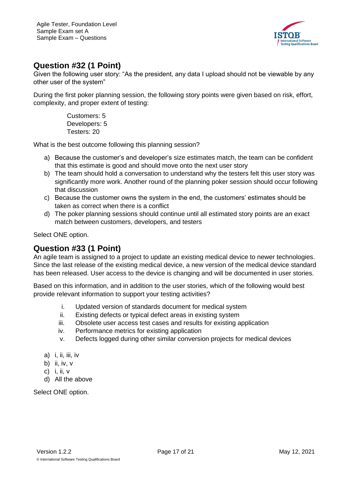

## <span id="page-16-0"></span>**Question #32 (1 Point)**

Given the following user story: "As the president, any data I upload should not be viewable by any other user of the system"

During the first poker planning session, the following story points were given based on risk, effort, complexity, and proper extent of testing:

> Customers: 5 Developers: 5 Testers: 20

What is the best outcome following this planning session?

- a) Because the customer's and developer's size estimates match, the team can be confident that this estimate is good and should move onto the next user story
- b) The team should hold a conversation to understand why the testers felt this user story was significantly more work. Another round of the planning poker session should occur following that discussion
- c) Because the customer owns the system in the end, the customers' estimates should be taken as correct when there is a conflict
- d) The poker planning sessions should continue until all estimated story points are an exact match between customers, developers, and testers

Select ONE option.

#### <span id="page-16-1"></span>**Question #33 (1 Point)**

An agile team is assigned to a project to update an existing medical device to newer technologies. Since the last release of the existing medical device, a new version of the medical device standard has been released. User access to the device is changing and will be documented in user stories.

Based on this information, and in addition to the user stories, which of the following would best provide relevant information to support your testing activities?

- i. Updated version of standards document for medical system
- ii. Existing defects or typical defect areas in existing system
- iii. Obsolete user access test cases and results for existing application
- iv. Performance metrics for existing application
- v. Defects logged during other similar conversion projects for medical devices
- a)  $i, ii, iii, iv$
- b) ii, iv, v
- c) i, ii, v
- d) All the above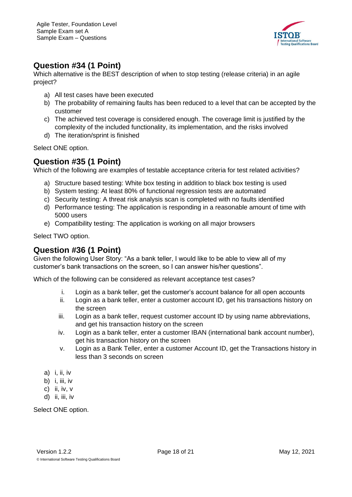

## <span id="page-17-0"></span>**Question #34 (1 Point)**

Which alternative is the BEST description of when to stop testing (release criteria) in an agile project?

- a) All test cases have been executed
- b) The probability of remaining faults has been reduced to a level that can be accepted by the customer
- c) The achieved test coverage is considered enough. The coverage limit is justified by the complexity of the included functionality, its implementation, and the risks involved
- d) The iteration/sprint is finished

Select ONE option.

#### <span id="page-17-1"></span>**Question #35 (1 Point)**

Which of the following are examples of testable acceptance criteria for test related activities?

- a) Structure based testing: White box testing in addition to black box testing is used
- b) System testing: At least 80% of functional regression tests are automated
- c) Security testing: A threat risk analysis scan is completed with no faults identified
- d) Performance testing: The application is responding in a reasonable amount of time with 5000 users
- e) Compatibility testing: The application is working on all major browsers

Select TWO option.

#### <span id="page-17-2"></span>**Question #36 (1 Point)**

Given the following User Story: "As a bank teller, I would like to be able to view all of my customer's bank transactions on the screen, so I can answer his/her questions".

Which of the following can be considered as relevant acceptance test cases?

- i. Login as a bank teller, get the customer's account balance for all open accounts
- ii. Login as a bank teller, enter a customer account ID, get his transactions history on the screen
- iii. Login as a bank teller, request customer account ID by using name abbreviations, and get his transaction history on the screen
- iv. Login as a bank teller, enter a customer IBAN (international bank account number), get his transaction history on the screen
- v. Login as a Bank Teller, enter a customer Account ID, get the Transactions history in less than 3 seconds on screen
- a) i, ii, iv
- b)  $i, iii, iv$
- c) ii, iv, v
- d) ii, iii, iv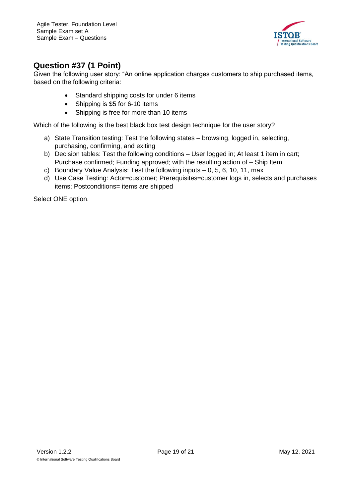

## <span id="page-18-0"></span>**Question #37 (1 Point)**

Given the following user story: "An online application charges customers to ship purchased items, based on the following criteria:

- Standard shipping costs for under 6 items
- Shipping is \$5 for 6-10 items
- Shipping is free for more than 10 items

Which of the following is the best black box test design technique for the user story?

- a) State Transition testing: Test the following states browsing, logged in, selecting, purchasing, confirming, and exiting
- b) Decision tables: Test the following conditions User logged in; At least 1 item in cart; Purchase confirmed; Funding approved; with the resulting action of – Ship Item
- c) Boundary Value Analysis: Test the following inputs 0, 5, 6, 10, 11, max
- d) Use Case Testing: Actor=customer; Prerequisites=customer logs in, selects and purchases items; Postconditions= items are shipped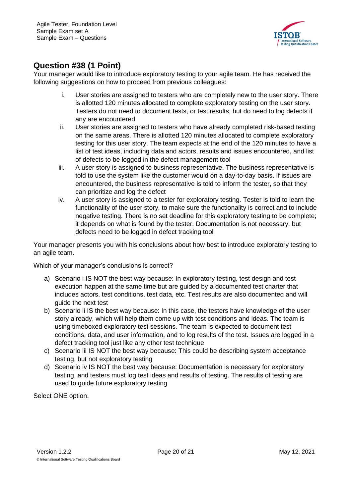

## <span id="page-19-0"></span>**Question #38 (1 Point)**

Your manager would like to introduce exploratory testing to your agile team. He has received the following suggestions on how to proceed from previous colleagues:

- i. User stories are assigned to testers who are completely new to the user story. There is allotted 120 minutes allocated to complete exploratory testing on the user story. Testers do not need to document tests, or test results, but do need to log defects if any are encountered
- ii. User stories are assigned to testers who have already completed risk-based testing on the same areas. There is allotted 120 minutes allocated to complete exploratory testing for this user story. The team expects at the end of the 120 minutes to have a list of test ideas, including data and actors, results and issues encountered, and list of defects to be logged in the defect management tool
- iii. A user story is assigned to business representative. The business representative is told to use the system like the customer would on a day-to-day basis. If issues are encountered, the business representative is told to inform the tester, so that they can prioritize and log the defect
- iv. A user story is assigned to a tester for exploratory testing. Tester is told to learn the functionality of the user story, to make sure the functionality is correct and to include negative testing. There is no set deadline for this exploratory testing to be complete; it depends on what is found by the tester. Documentation is not necessary, but defects need to be logged in defect tracking tool

Your manager presents you with his conclusions about how best to introduce exploratory testing to an agile team.

Which of your manager's conclusions is correct?

- a) Scenario i IS NOT the best way because: In exploratory testing, test design and test execution happen at the same time but are guided by a documented test charter that includes actors, test conditions, test data, etc. Test results are also documented and will guide the next test
- b) Scenario ii IS the best way because: In this case, the testers have knowledge of the user story already, which will help them come up with test conditions and ideas. The team is using timeboxed exploratory test sessions. The team is expected to document test conditions, data, and user information, and to log results of the test. Issues are logged in a defect tracking tool just like any other test technique
- c) Scenario iii IS NOT the best way because: This could be describing system acceptance testing, but not exploratory testing
- d) Scenario iv IS NOT the best way because: Documentation is necessary for exploratory testing, and testers must log test ideas and results of testing. The results of testing are used to guide future exploratory testing